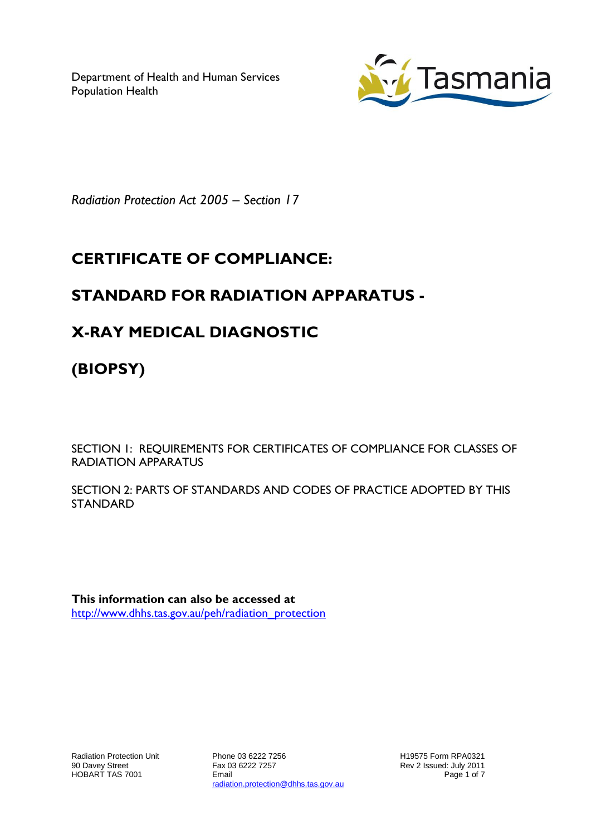Department of Health and Human Services Population Health



*Radiation Protection Act 2005 – Section 17*

# **CERTIFICATE OF COMPLIANCE:**

## **STANDARD FOR RADIATION APPARATUS -**

## **X-RAY MEDICAL DIAGNOSTIC**

**(BIOPSY)**

SECTION 1: REQUIREMENTS FOR CERTIFICATES OF COMPLIANCE FOR CLASSES OF RADIATION APPARATUS

SECTION 2: PARTS OF STANDARDS AND CODES OF PRACTICE ADOPTED BY THIS STANDARD

**This information can also be accessed at** [http://www.dhhs.tas.gov.au/peh/radiation\\_protection](http://www.dhhs.tas.gov.au/peh/radiation_protection)

Phone 03 6222 7256 Fax 03 6222 7257 Email radiation.protection@dhhs.tas.gov.au H19575 Form RPA0321 Rev 2 Issued: July 2011 Page 1 of 7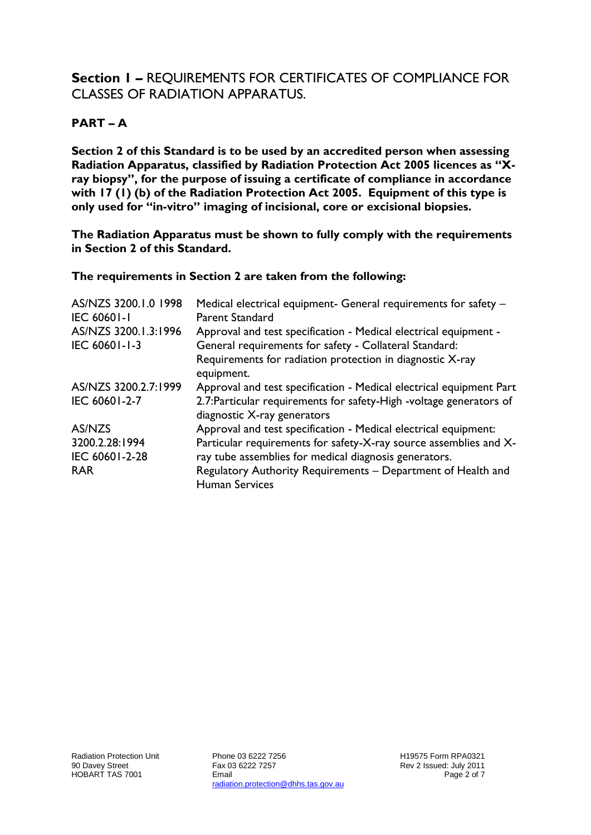### **Section 1 –** REQUIREMENTS FOR CERTIFICATES OF COMPLIANCE FOR CLASSES OF RADIATION APPARATUS.

#### **PART – A**

**Section 2 of this Standard is to be used by an accredited person when assessing Radiation Apparatus, classified by Radiation Protection Act 2005 licences as "Xray biopsy", for the purpose of issuing a certificate of compliance in accordance with 17 (1) (b) of the Radiation Protection Act 2005. Equipment of this type is only used for "in-vitro" imaging of incisional, core or excisional biopsies.**

**The Radiation Apparatus must be shown to fully comply with the requirements in Section 2 of this Standard.**

#### **The requirements in Section 2 are taken from the following:**

| AS/NZS 3200.1.0 1998 | Medical electrical equipment- General requirements for safety -     |
|----------------------|---------------------------------------------------------------------|
| <b>IEC 60601-1</b>   | <b>Parent Standard</b>                                              |
| AS/NZS 3200.1.3:1996 | Approval and test specification - Medical electrical equipment -    |
| IEC 60601-1-3        | General requirements for safety - Collateral Standard:              |
|                      | Requirements for radiation protection in diagnostic X-ray           |
|                      | equipment.                                                          |
| AS/NZS 3200.2.7:1999 | Approval and test specification - Medical electrical equipment Part |
| IEC 60601-2-7        | 2.7: Particular requirements for safety-High -voltage generators of |
|                      | diagnostic X-ray generators                                         |
| AS/NZS               | Approval and test specification - Medical electrical equipment:     |
| 3200.2.28:1994       | Particular requirements for safety-X-ray source assemblies and X-   |
| IEC 60601-2-28       | ray tube assemblies for medical diagnosis generators.               |
| <b>RAR</b>           | Regulatory Authority Requirements - Department of Health and        |
|                      | <b>Human Services</b>                                               |

Phone 03 6222 7256 Fax 03 6222 7257 Email radiation.protection@dhhs.tas.gov.au H19575 Form RPA0321 Rev 2 Issued: July 2011 Page 2 of 7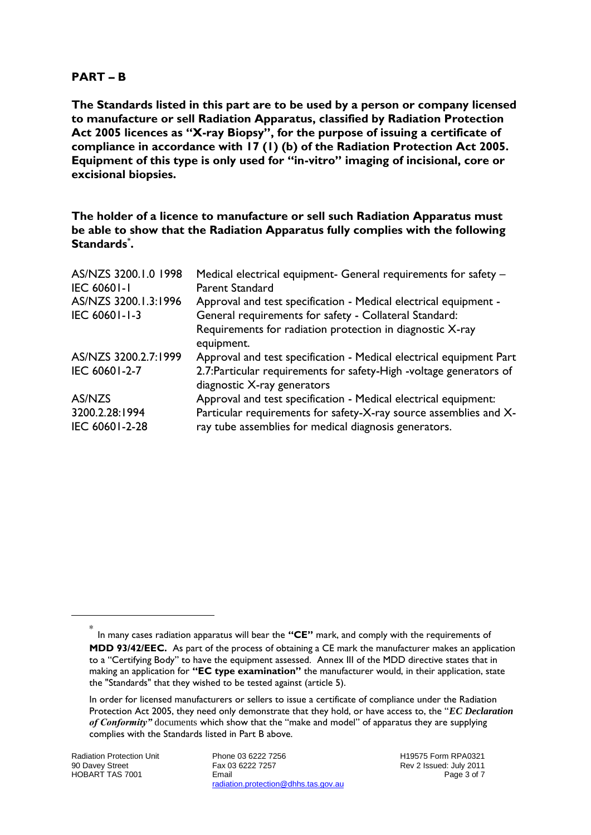#### **PART – B**

**The Standards listed in this part are to be used by a person or company licensed to manufacture or sell Radiation Apparatus, classified by Radiation Protection Act 2005 licences as "X-ray Biopsy", for the purpose of issuing a certificate of compliance in accordance with 17 (1) (b) of the Radiation Protection Act 2005. Equipment of this type is only used for "in-vitro" imaging of incisional, core or excisional biopsies.**

**The holder of a licence to manufacture or sell such Radiation Apparatus must be able to show that the Radiation Apparatus fully complies with the following Standards\* .**

| AS/NZS 3200.1.0 1998             | Medical electrical equipment- General requirements for safety -                                                            |
|----------------------------------|----------------------------------------------------------------------------------------------------------------------------|
| <b>IEC 60601-1</b>               | <b>Parent Standard</b>                                                                                                     |
| AS/NZS 3200.1.3:1996             | Approval and test specification - Medical electrical equipment -                                                           |
| IEC 60601-1-3                    | General requirements for safety - Collateral Standard:                                                                     |
|                                  | Requirements for radiation protection in diagnostic X-ray<br>equipment.                                                    |
| AS/NZS 3200.2.7:1999             | Approval and test specification - Medical electrical equipment Part                                                        |
| IEC 60601-2-7                    | 2.7: Particular requirements for safety-High -voltage generators of<br>diagnostic X-ray generators                         |
| AS/NZS                           | Approval and test specification - Medical electrical equipment:                                                            |
| 3200.2.28:1994<br>IEC 60601-2-28 | Particular requirements for safety-X-ray source assemblies and X-<br>ray tube assemblies for medical diagnosis generators. |

-

Phone 03 6222 7256 Fax 03 6222 7257 Email radiation.protection@dhhs.tas.gov.au

H19575 Form RPA0321 Rev 2 Issued: July 2011 Page 3 of 7

<sup>\*</sup> In many cases radiation apparatus will bear the **"CE"** mark, and comply with the requirements of **MDD 93/42/EEC.** As part of the process of obtaining a CE mark the manufacturer makes an application to a "Certifying Body" to have the equipment assessed. Annex III of the MDD directive states that in making an application for **"EC type examination"** the manufacturer would, in their application, state the "Standards" that they wished to be tested against (article 5).

In order for licensed manufacturers or sellers to issue a certificate of compliance under the Radiation Protection Act 2005, they need only demonstrate that they hold, or have access to, the "*EC Declaration of Conformity"* documents which show that the "make and model" of apparatus they are supplying complies with the Standards listed in Part B above.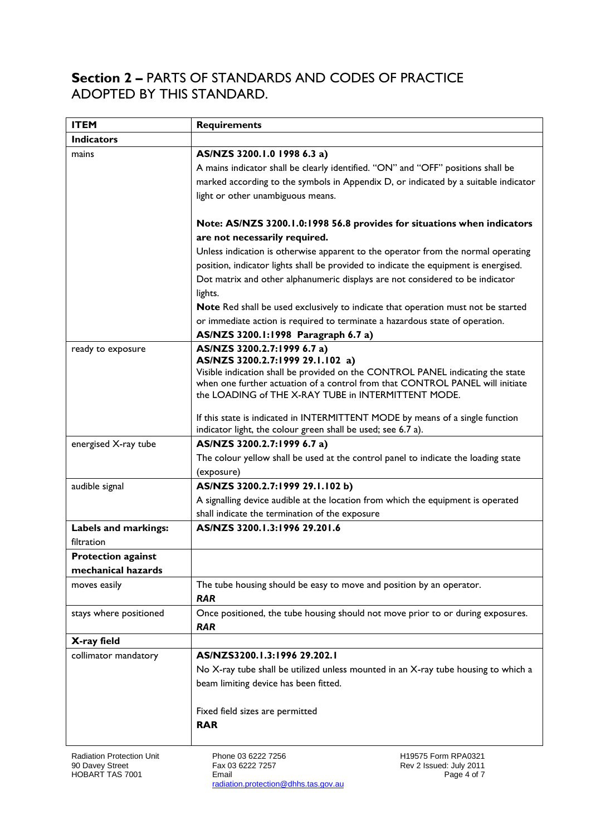### **Section 2 –** PARTS OF STANDARDS AND CODES OF PRACTICE ADOPTED BY THIS STANDARD.

| <b>ITEM</b>                             | <b>Requirements</b>                                                                                                |
|-----------------------------------------|--------------------------------------------------------------------------------------------------------------------|
| <b>Indicators</b>                       |                                                                                                                    |
| mains                                   | AS/NZS 3200.1.0 1998 6.3 a)                                                                                        |
|                                         | A mains indicator shall be clearly identified. "ON" and "OFF" positions shall be                                   |
|                                         | marked according to the symbols in Appendix D, or indicated by a suitable indicator                                |
|                                         | light or other unambiguous means.                                                                                  |
|                                         | Note: AS/NZS 3200.1.0:1998 56.8 provides for situations when indicators                                            |
|                                         | are not necessarily required.                                                                                      |
|                                         | Unless indication is otherwise apparent to the operator from the normal operating                                  |
|                                         | position, indicator lights shall be provided to indicate the equipment is energised.                               |
|                                         | Dot matrix and other alphanumeric displays are not considered to be indicator                                      |
|                                         | lights.                                                                                                            |
|                                         | Note Red shall be used exclusively to indicate that operation must not be started                                  |
|                                         | or immediate action is required to terminate a hazardous state of operation.                                       |
|                                         | AS/NZS 3200.1:1998 Paragraph 6.7 a)                                                                                |
| ready to exposure                       | AS/NZS 3200.2.7:1999 6.7 a)                                                                                        |
|                                         | AS/NZS 3200.2.7:1999 29.1.102 a)<br>Visible indication shall be provided on the CONTROL PANEL indicating the state |
|                                         | when one further actuation of a control from that CONTROL PANEL will initiate                                      |
|                                         | the LOADING of THE X-RAY TUBE in INTERMITTENT MODE.                                                                |
|                                         | If this state is indicated in INTERMITTENT MODE by means of a single function                                      |
|                                         | indicator light, the colour green shall be used; see 6.7 a).                                                       |
| energised X-ray tube                    | AS/NZS 3200.2.7:1999 6.7 a)                                                                                        |
|                                         | The colour yellow shall be used at the control panel to indicate the loading state                                 |
|                                         | (exposure)                                                                                                         |
| audible signal                          | AS/NZS 3200.2.7:1999 29.1.102 b)                                                                                   |
|                                         | A signalling device audible at the location from which the equipment is operated                                   |
|                                         | shall indicate the termination of the exposure                                                                     |
| Labels and markings:                    | AS/NZS 3200.1.3:1996 29.201.6                                                                                      |
| filtration<br><b>Protection against</b> |                                                                                                                    |
| mechanical hazards                      |                                                                                                                    |
| moves easily                            | The tube housing should be easy to move and position by an operator.                                               |
|                                         | <b>RAR</b>                                                                                                         |
| stays where positioned                  | Once positioned, the tube housing should not move prior to or during exposures.                                    |
|                                         | <b>RAR</b>                                                                                                         |
| X-ray field                             |                                                                                                                    |
| collimator mandatory                    | AS/NZS3200.1.3:1996 29.202.1                                                                                       |
|                                         | No X-ray tube shall be utilized unless mounted in an X-ray tube housing to which a                                 |
|                                         | beam limiting device has been fitted.                                                                              |
|                                         | Fixed field sizes are permitted                                                                                    |
|                                         | <b>RAR</b>                                                                                                         |
|                                         |                                                                                                                    |

Phone 03 6222 7256 Fax 03 6222 7257 Email radiation.protection@dhhs.tas.gov.au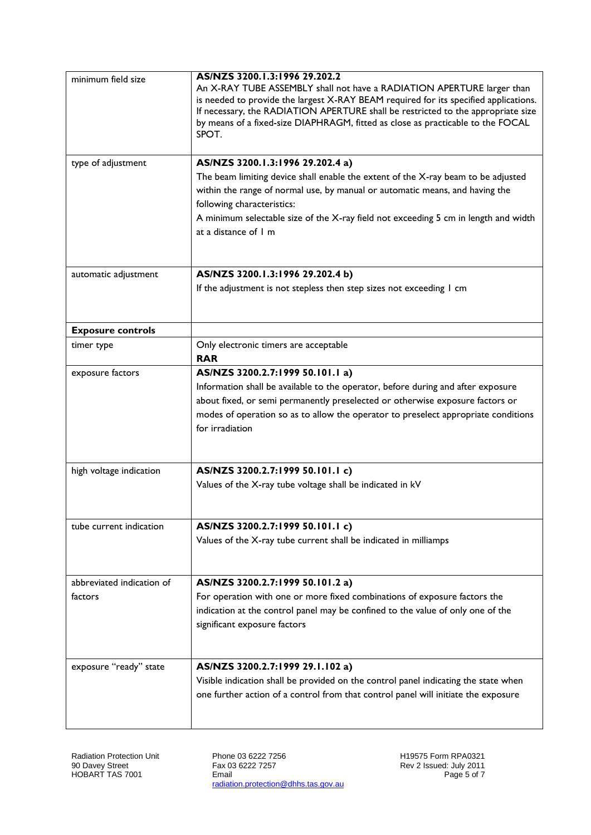| minimum field size        | AS/NZS 3200.1.3:1996 29.202.2                                                                                                                                  |
|---------------------------|----------------------------------------------------------------------------------------------------------------------------------------------------------------|
|                           | An X-RAY TUBE ASSEMBLY shall not have a RADIATION APERTURE larger than<br>is needed to provide the largest X-RAY BEAM required for its specified applications. |
|                           | If necessary, the RADIATION APERTURE shall be restricted to the appropriate size                                                                               |
|                           | by means of a fixed-size DIAPHRAGM, fitted as close as practicable to the FOCAL                                                                                |
|                           | SPOT.                                                                                                                                                          |
| type of adjustment        | AS/NZS 3200.1.3:1996 29.202.4 a)                                                                                                                               |
|                           | The beam limiting device shall enable the extent of the X-ray beam to be adjusted                                                                              |
|                           | within the range of normal use, by manual or automatic means, and having the                                                                                   |
|                           | following characteristics:                                                                                                                                     |
|                           | A minimum selectable size of the X-ray field not exceeding 5 cm in length and width                                                                            |
|                           | at a distance of I m                                                                                                                                           |
| automatic adjustment      | AS/NZS 3200.1.3:1996 29.202.4 b)                                                                                                                               |
|                           | If the adjustment is not stepless then step sizes not exceeding I cm                                                                                           |
|                           |                                                                                                                                                                |
| <b>Exposure controls</b>  |                                                                                                                                                                |
| timer type                | Only electronic timers are acceptable<br><b>RAR</b>                                                                                                            |
| exposure factors          | AS/NZS 3200.2.7:1999 50.101.1 a)                                                                                                                               |
|                           | Information shall be available to the operator, before during and after exposure                                                                               |
|                           | about fixed, or semi permanently preselected or otherwise exposure factors or                                                                                  |
|                           | modes of operation so as to allow the operator to preselect appropriate conditions                                                                             |
|                           | for irradiation                                                                                                                                                |
| high voltage indication   | AS/NZS 3200.2.7:1999 50.101.1 c)                                                                                                                               |
|                           | Values of the X-ray tube voltage shall be indicated in kV                                                                                                      |
|                           |                                                                                                                                                                |
| tube current indication   | AS/NZS 3200.2.7:1999 50.101.1 c)                                                                                                                               |
|                           | Values of the X-ray tube current shall be indicated in milliamps                                                                                               |
| abbreviated indication of | AS/NZS 3200.2.7:1999 50.101.2 a)                                                                                                                               |
| factors                   | For operation with one or more fixed combinations of exposure factors the                                                                                      |
|                           | indication at the control panel may be confined to the value of only one of the                                                                                |
|                           | significant exposure factors                                                                                                                                   |
|                           |                                                                                                                                                                |
| exposure "ready" state    | AS/NZS 3200.2.7:1999 29.1.102 a)                                                                                                                               |
|                           | Visible indication shall be provided on the control panel indicating the state when                                                                            |
|                           | one further action of a control from that control panel will initiate the exposure                                                                             |
|                           |                                                                                                                                                                |

Phone 03 6222 7256 Fax 03 6222 7257 Email radiation.protection@dhhs.tas.gov.au H19575 Form RPA0321 Rev 2 Issued: July 2011 Page 5 of 7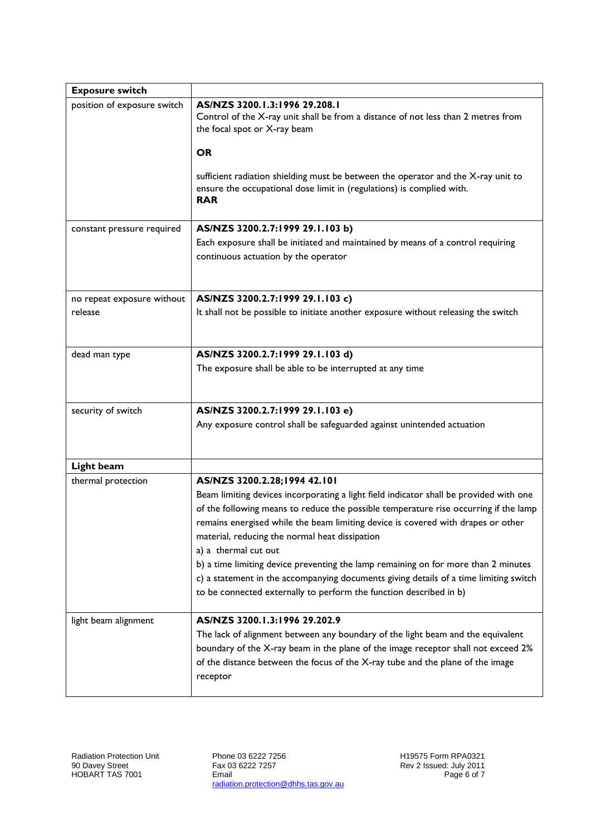| <b>Exposure switch</b>      |                                                                                                                                                                                                                                                                                                                                              |
|-----------------------------|----------------------------------------------------------------------------------------------------------------------------------------------------------------------------------------------------------------------------------------------------------------------------------------------------------------------------------------------|
| position of exposure switch | AS/NZS 3200.1.3:1996 29.208.1<br>Control of the X-ray unit shall be from a distance of not less than 2 metres from<br>the focal spot or X-ray beam                                                                                                                                                                                           |
|                             | <b>OR</b>                                                                                                                                                                                                                                                                                                                                    |
|                             | sufficient radiation shielding must be between the operator and the X-ray unit to<br>ensure the occupational dose limit in (regulations) is complied with.<br><b>RAR</b>                                                                                                                                                                     |
| constant pressure required  | AS/NZS 3200.2.7:1999 29.1.103 b)                                                                                                                                                                                                                                                                                                             |
|                             | Each exposure shall be initiated and maintained by means of a control requiring<br>continuous actuation by the operator                                                                                                                                                                                                                      |
| no repeat exposure without  | AS/NZS 3200.2.7:1999 29.1.103 c)                                                                                                                                                                                                                                                                                                             |
| release                     | It shall not be possible to initiate another exposure without releasing the switch                                                                                                                                                                                                                                                           |
| dead man type               | AS/NZS 3200.2.7:1999 29.1.103 d)                                                                                                                                                                                                                                                                                                             |
|                             | The exposure shall be able to be interrupted at any time                                                                                                                                                                                                                                                                                     |
| security of switch          | AS/NZS 3200.2.7:1999 29.1.103 e)                                                                                                                                                                                                                                                                                                             |
|                             | Any exposure control shall be safeguarded against unintended actuation                                                                                                                                                                                                                                                                       |
| Light beam                  |                                                                                                                                                                                                                                                                                                                                              |
| thermal protection          | AS/NZS 3200.2.28;1994 42.101                                                                                                                                                                                                                                                                                                                 |
|                             | Beam limiting devices incorporating a light field indicator shall be provided with one<br>of the following means to reduce the possible temperature rise occurring if the lamp<br>remains energised while the beam limiting device is covered with drapes or other<br>material, reducing the normal heat dissipation<br>a) a thermal cut out |
|                             | b) a time limiting device preventing the lamp remaining on for more than 2 minutes<br>c) a statement in the accompanying documents giving details of a time limiting switch<br>to be connected externally to perform the function described in b)                                                                                            |
| light beam alignment        | AS/NZS 3200.1.3:1996 29.202.9                                                                                                                                                                                                                                                                                                                |
|                             | The lack of alignment between any boundary of the light beam and the equivalent<br>boundary of the X-ray beam in the plane of the image receptor shall not exceed 2%<br>of the distance between the focus of the X-ray tube and the plane of the image<br>receptor                                                                           |
|                             |                                                                                                                                                                                                                                                                                                                                              |

Phone 03 6222 7256 Fax 03 6222 7257 Email radiation.protection@dhhs.tas.gov.au